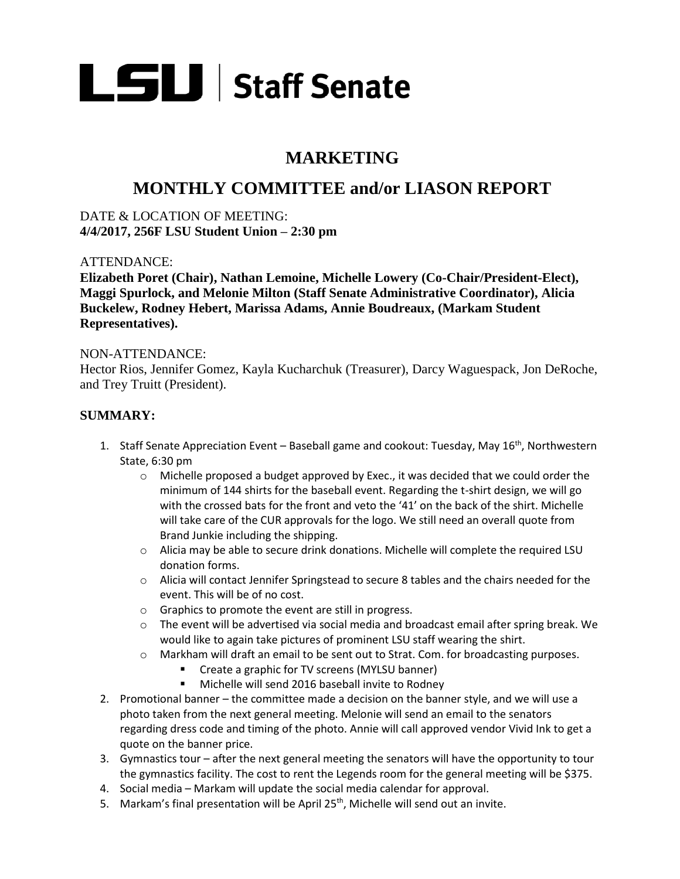

# **MARKETING**

## **MONTHLY COMMITTEE and/or LIASON REPORT**

DATE & LOCATION OF MEETING: **4/4/2017, 256F LSU Student Union – 2:30 pm** 

### ATTENDANCE:

**Elizabeth Poret (Chair), Nathan Lemoine, Michelle Lowery (Co-Chair/President-Elect), Maggi Spurlock, and Melonie Milton (Staff Senate Administrative Coordinator), Alicia Buckelew, Rodney Hebert, Marissa Adams, Annie Boudreaux, (Markam Student Representatives).**

#### NON-ATTENDANCE:

Hector Rios, Jennifer Gomez, Kayla Kucharchuk (Treasurer), Darcy Waguespack, Jon DeRoche, and Trey Truitt (President).

### **SUMMARY:**

- 1. Staff Senate Appreciation Event Baseball game and cookout: Tuesday, May  $16<sup>th</sup>$ , Northwestern State, 6:30 pm
	- $\circ$  Michelle proposed a budget approved by Exec., it was decided that we could order the minimum of 144 shirts for the baseball event. Regarding the t-shirt design, we will go with the crossed bats for the front and veto the '41' on the back of the shirt. Michelle will take care of the CUR approvals for the logo. We still need an overall quote from Brand Junkie including the shipping.
	- $\circ$  Alicia may be able to secure drink donations. Michelle will complete the required LSU donation forms.
	- o Alicia will contact Jennifer Springstead to secure 8 tables and the chairs needed for the event. This will be of no cost.
	- o Graphics to promote the event are still in progress.
	- $\circ$  The event will be advertised via social media and broadcast email after spring break. We would like to again take pictures of prominent LSU staff wearing the shirt.
	- o Markham will draft an email to be sent out to Strat. Com. for broadcasting purposes.
		- **EXECT:** Create a graphic for TV screens (MYLSU banner)
		- **Michelle will send 2016 baseball invite to Rodney**
- 2. Promotional banner the committee made a decision on the banner style, and we will use a photo taken from the next general meeting. Melonie will send an email to the senators regarding dress code and timing of the photo. Annie will call approved vendor Vivid Ink to get a quote on the banner price.
- 3. Gymnastics tour after the next general meeting the senators will have the opportunity to tour the gymnastics facility. The cost to rent the Legends room for the general meeting will be \$375.
- 4. Social media Markam will update the social media calendar for approval.
- 5. Markam's final presentation will be April 25<sup>th</sup>, Michelle will send out an invite.